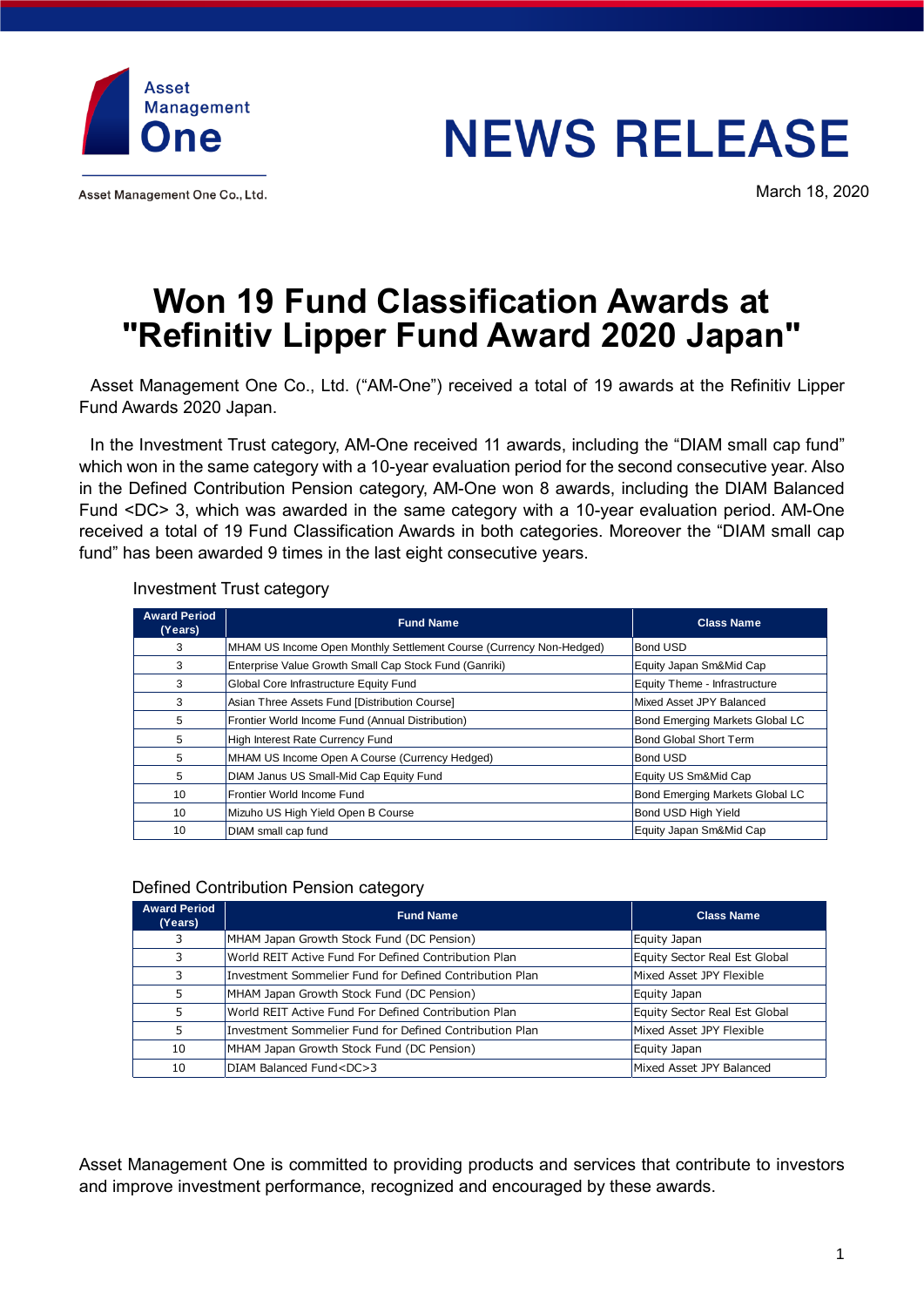

Asset Management One Co., Ltd.

# **NEWS RELEASE**

March 18, 2020

# **Won 19 Fund Classification Awards at "Refinitiv Lipper Fund Award 2020 Japan"**

Asset Management One Co., Ltd. ("AM-One") received a total of 19 awards at the Refinitiv Lipper Fund Awards 2020 Japan.

In the Investment Trust category, AM-One received 11 awards, including the "DIAM small cap fund" which won in the same category with a 10-year evaluation period for the second consecutive year. Also in the Defined Contribution Pension category, AM-One won 8 awards, including the DIAM Balanced Fund <DC> 3, which was awarded in the same category with a 10-year evaluation period. AM-One received a total of 19 Fund Classification Awards in both categories. Moreover the "DIAM small cap fund" has been awarded 9 times in the last eight consecutive years.

## Investment Trust category

| <b>Award Period</b><br>(Years) | <b>Fund Name</b>                                                    | <b>Class Name</b>               |
|--------------------------------|---------------------------------------------------------------------|---------------------------------|
| 3                              | MHAM US Income Open Monthly Settlement Course (Currency Non-Hedged) | <b>Bond USD</b>                 |
| 3                              | Enterprise Value Growth Small Cap Stock Fund (Ganriki)              | Equity Japan Sm&Mid Cap         |
| 3                              | Global Core Infrastructure Equity Fund                              | Equity Theme - Infrastructure   |
| 3                              | Asian Three Assets Fund [Distribution Course]                       | Mixed Asset JPY Balanced        |
| 5                              | Frontier World Income Fund (Annual Distribution)                    | Bond Emerging Markets Global LC |
| 5                              | High Interest Rate Currency Fund                                    | <b>Bond Global Short Term</b>   |
| 5                              | MHAM US Income Open A Course (Currency Hedged)                      | <b>Bond USD</b>                 |
| 5                              | DIAM Janus US Small-Mid Cap Equity Fund                             | Equity US Sm&Mid Cap            |
| 10                             | Frontier World Income Fund                                          | Bond Emerging Markets Global LC |
| 10                             | Mizuho US High Yield Open B Course                                  | Bond USD High Yield             |
| 10                             | DIAM small cap fund                                                 | Equity Japan Sm&Mid Cap         |

## Defined Contribution Pension category

| <b>Award Period</b><br>(Years) | <b>Fund Name</b>                                        | <b>Class Name</b>             |
|--------------------------------|---------------------------------------------------------|-------------------------------|
|                                | MHAM Japan Growth Stock Fund (DC Pension)               | Equity Japan                  |
|                                | World REIT Active Fund For Defined Contribution Plan    | Equity Sector Real Est Global |
|                                | Investment Sommelier Fund for Defined Contribution Plan | Mixed Asset JPY Flexible      |
|                                | MHAM Japan Growth Stock Fund (DC Pension)               | Equity Japan                  |
|                                | World REIT Active Fund For Defined Contribution Plan    | Equity Sector Real Est Global |
|                                | Investment Sommelier Fund for Defined Contribution Plan | Mixed Asset JPY Flexible      |
| 10                             | MHAM Japan Growth Stock Fund (DC Pension)               | Equity Japan                  |
| 10                             | DIAM Balanced Fund <dc>3</dc>                           | Mixed Asset JPY Balanced      |

Asset Management One is committed to providing products and services that contribute to investors and improve investment performance, recognized and encouraged by these awards.